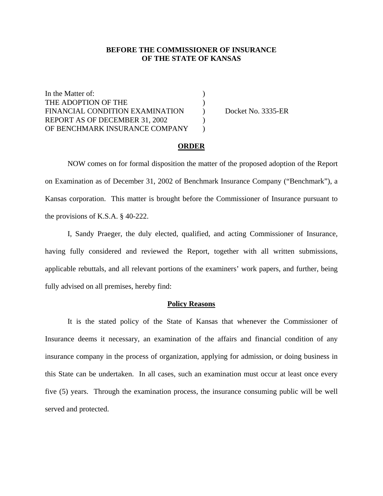## **BEFORE THE COMMISSIONER OF INSURANCE OF THE STATE OF KANSAS**

In the Matter of:  $\qquad \qquad$  ) THE ADOPTION OF THE (2002) FINANCIAL CONDITION EXAMINATION ) Docket No. 3335-ER REPORT AS OF DECEMBER 31, 2002 OF BENCHMARK INSURANCE COMPANY )

### **ORDER**

 NOW comes on for formal disposition the matter of the proposed adoption of the Report on Examination as of December 31, 2002 of Benchmark Insurance Company ("Benchmark"), a Kansas corporation. This matter is brought before the Commissioner of Insurance pursuant to the provisions of K.S.A. § 40-222.

 I, Sandy Praeger, the duly elected, qualified, and acting Commissioner of Insurance, having fully considered and reviewed the Report, together with all written submissions, applicable rebuttals, and all relevant portions of the examiners' work papers, and further, being fully advised on all premises, hereby find:

#### **Policy Reasons**

 It is the stated policy of the State of Kansas that whenever the Commissioner of Insurance deems it necessary, an examination of the affairs and financial condition of any insurance company in the process of organization, applying for admission, or doing business in this State can be undertaken. In all cases, such an examination must occur at least once every five (5) years. Through the examination process, the insurance consuming public will be well served and protected.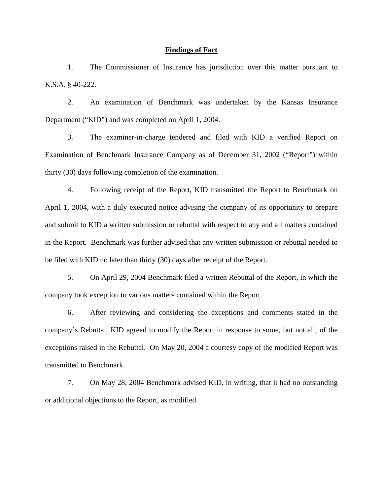### **Findings of Fact**

 1. The Commissioner of Insurance has jurisdiction over this matter pursuant to K.S.A. § 40-222.

 2. An examination of Benchmark was undertaken by the Kansas Insurance Department ("KID") and was completed on April 1, 2004.

 3. The examiner-in-charge tendered and filed with KID a verified Report on Examination of Benchmark Insurance Company as of December 31, 2002 ("Report") within thirty (30) days following completion of the examination.

 4. Following receipt of the Report, KID transmitted the Report to Benchmark on April 1, 2004, with a duly executed notice advising the company of its opportunity to prepare and submit to KID a written submission or rebuttal with respect to any and all matters contained in the Report. Benchmark was further advised that any written submission or rebuttal needed to be filed with KID no later than thirty (30) days after receipt of the Report.

 5. On April 29, 2004 Benchmark filed a written Rebuttal of the Report, in which the company took exception to various matters contained within the Report.

6. After reviewing and considering the exceptions and comments stated in the company's Rebuttal, KID agreed to modify the Report in response to some, but not all, of the exceptions raised in the Rebuttal. On May 20, 2004 a courtesy copy of the modified Report was transmitted to Benchmark.

7. On May 28, 2004 Benchmark advised KID, in writing, that it had no outstanding or additional objections to the Report, as modified.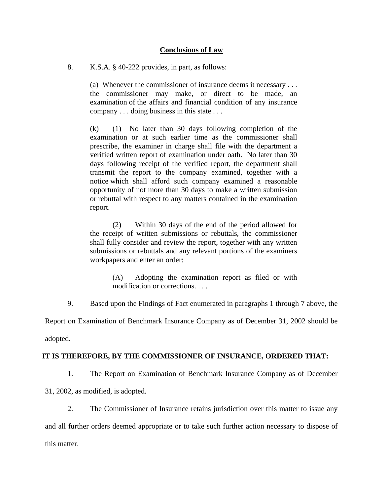## **Conclusions of Law**

8. K.S.A. § 40-222 provides, in part, as follows:

(a) Whenever the commissioner of insurance deems it necessary . . . the commissioner may make, or direct to be made, an examination of the affairs and financial condition of any insurance company . . . doing business in this state . . .

(k) (1) No later than 30 days following completion of the examination or at such earlier time as the commissioner shall prescribe, the examiner in charge shall file with the department a verified written report of examination under oath. No later than 30 days following receipt of the verified report, the department shall transmit the report to the company examined, together with a notice which shall afford such company examined a reasonable opportunity of not more than 30 days to make a written submission or rebuttal with respect to any matters contained in the examination report.

 (2) Within 30 days of the end of the period allowed for the receipt of written submissions or rebuttals, the commissioner shall fully consider and review the report, together with any written submissions or rebuttals and any relevant portions of the examiners workpapers and enter an order:

> (A) Adopting the examination report as filed or with modification or corrections. . . .

9. Based upon the Findings of Fact enumerated in paragraphs 1 through 7 above, the

Report on Examination of Benchmark Insurance Company as of December 31, 2002 should be

adopted.

## **IT IS THEREFORE, BY THE COMMISSIONER OF INSURANCE, ORDERED THAT:**

1. The Report on Examination of Benchmark Insurance Company as of December

31, 2002, as modified, is adopted.

2. The Commissioner of Insurance retains jurisdiction over this matter to issue any

and all further orders deemed appropriate or to take such further action necessary to dispose of this matter.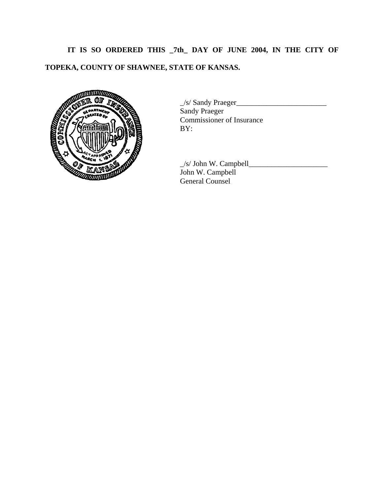**IT IS SO ORDERED THIS \_7th\_ DAY OF JUNE 2004, IN THE CITY OF** 

# **TOPEKA, COUNTY OF SHAWNEE, STATE OF KANSAS.**



 \_/s/ Sandy Praeger\_\_\_\_\_\_\_\_\_\_\_\_\_\_\_\_\_\_\_\_\_\_\_\_ Sandy Praeger Commissioner of Insurance BY:

 $\angle$ s/ John W. Campbell $\angle$ John W. Campbell General Counsel